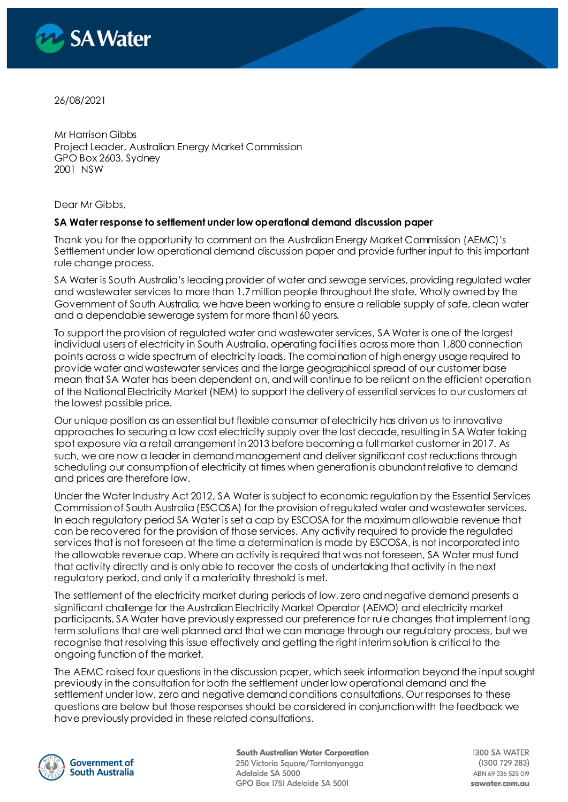

26/08/2021

Mr Harrison Gibbs Project Leader, Australian Energy Market Commission GPO Box 2603, Sydney 2001 NSW

Dear Mr Gibbs,

#### **SA Water response to settlement under low operational demand discussion paper**

Thank you for the opportunity to comment on the Australian Energy Market Commission (AEMC)'s Settlement under low operational demand discussion paper and provide further input to this important rule change process.

SA Water is South Australia's leading provider of water and sewage services, providing regulated water and wastewater services to more than 1.7 million people throughout the state. Wholly owned by the Government of South Australia, we have been working to ensure a reliable supply of safe, clean water and a dependable sewerage system for more than160 years.

To support the provision of regulated water and wastewater services, SA Water is one of the largest individual users of electricity in South Australia, operating facilities across more than 1,800 connection points across a wide spectrum of electricity loads. The combination of high energy usage required to provide water and wastewater services and the large geographical spread of our customer base mean that SA Water has been dependent on, and will continue to be reliant on the efficient operation of the National Electricity Market (NEM) to support the delivery of essential services to our customers at the lowest possible price.

Our unique position as an essential but flexible consumer of electricity has driven us to innovative approaches to securing a low cost electricity supply over the last decade, resulting in SA Water taking spot exposure via a retail arrangement in 2013 before becoming a full market customer in 2017. As such, we are now a leader in demand management and deliver significant cost reductions through scheduling our consumption of electricity at times when generation is abundant relative to demand and prices are therefore low.

Under the Water Industry Act 2012, SA Water is subject to economic regulation by the Essential Services Commission of South Australia (ESCOSA) for the provision of regulated water and wastewater services. In each regulatory period SA Water is set a cap by ESCOSA for the maximum allowable revenue that can be recovered for the provision of those services. Any activity required to provide the regulated services that is not foreseen at the time a determination is made by ESCOSA, is not incorporated into the allowable revenue cap. Where an activity is required that was not foreseen, SA Water must fund that activity directly and is only able to recover the costs of undertaking that activity in the next regulatory period, and only if a materiality threshold is met.

The settlement of the electricity market during periods of low, zero and negative demand presents a significant challenge for the Australian Electricity Market Operator (AEMO) and electricity market participants, SA Water have previously expressed our preference for rule changes that implement long term solutions that are well planned and that we can manage through our regulatory process, but we recognise that resolving this issue effectively and getting the right interim solution is critical to the ongoing function of the market.

The AEMC raised four questions in the discussion paper, which seek information beyond the input sought previously in the consultation for both the settlement under low operational demand and the settlement under low, zero and negative demand conditions consultations. Our responses to these questions are below but those responses should be considered in conjunction with the feedback we have previously provided in these related consultations.



**South Australian Water Corporation** 250 Victoria Square/Tarntanyangga Adelaide SA 5000 GPO Box 1751 Adelaide SA 5001

1300 SA WATER (1300 729 283) ABN 69 336 525 019 sawater.com.au